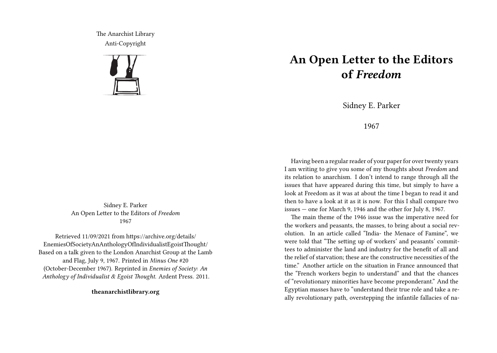The Anarchist Library Anti-Copyright



Sidney E. Parker An Open Letter to the Editors of *Freedom* 1967

Retrieved 11/09/2021 from https://archive.org/details/ EnemiesOfSocietyAnAnthologyOfIndividualistEgoistThought/ Based on a talk given to the London Anarchist Group at the Lamb and Flag, July 9, 1967. Printed in *Minus One* #20 (October-December 1967). Reprinted in *Enemies of Society: An Anthology of Individualist & Egoist Thought*. Ardent Press. 2011.

**theanarchistlibrary.org**

## **An Open Letter to the Editors of** *Freedom*

Sidney E. Parker

1967

Having been a regular reader of your paper for over twenty years I am writing to give you some of my thoughts about *Freedom* and its relation to anarchism. I don't intend to range through all the issues that have appeared during this time, but simply to have a look at Freedom as it was at about the time I began to read it and then to have a look at it as it is now. For this I shall compare two issues — one for March 9, 1946 and the other for July 8, 1967.

The main theme of the 1946 issue was the imperative need for the workers and peasants, the masses, to bring about a social revolution. In an article called "India- the Menace of Famine", we were told that "The setting up of workers' and peasants' committees to administer the land and industry for the benefit of all and the relief of starvation; these are the constructive necessities of the time." Another article on the situation in France announced that the "French workers begin to understand" and that the chances of "revolutionary minorities have become preponderant." And the Egyptian masses have to "understand their true role and take a really revolutionary path, overstepping the infantile fallacies of na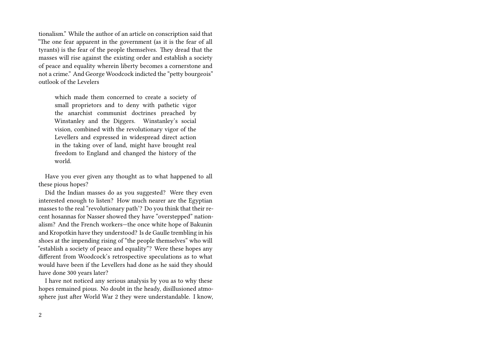tionalism." While the author of an article on conscription said that "The one fear apparent in the government (as it is the fear of all tyrants) is the fear of the people themselves. They dread that the masses will rise against the existing order and establish a society of peace and equality wherein liberty becomes a cornerstone and not a crime." And George Woodcock indicted the "petty bourgeois" outlook of the Levelers

which made them concerned to create a society of small proprietors and to deny with pathetic vigor the anarchist communist doctrines preached by Winstanley and the Diggers. Winstanley's social vision, combined with the revolutionary vigor of the Levellers and expressed in widespread direct action in the taking over of land, might have brought real freedom to England and changed the history of the world.

Have you ever given any thought as to what happened to all these pious hopes?

Did the Indian masses do as you suggested? Were they even interested enough to listen? How much nearer are the Egyptian masses to the real "revolutionary path'? Do you think that their recent hosannas for Nasser showed they have "overstepped" nationalism? And the French workers—the once white hope of Bakunin and Kropotkin have they understood? Is de Gaulle trembling in his shoes at the impending rising of "the people themselves" who will "establish a society of peace and equality"? Were these hopes any different from Woodcock's retrospective speculations as to what would have been if the Levellers had done as he said they should have done 300 years later?

I have not noticed any serious analysis by you as to why these hopes remained pious. No doubt in the heady, disillusioned atmosphere just after World War 2 they were understandable. I know,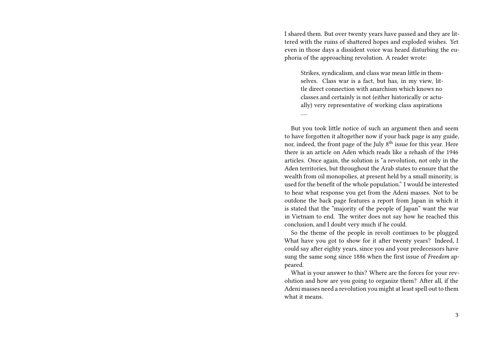I shared them. But over twenty years have passed and they are littered with the ruins of shattered hopes and exploded wishes. Yet even in those days a dissident voice was heard disturbing the euphoria of the approaching revolution. A reader wrote:

Strikes, syndicalism, and class war mean little in themselves. Class war is a fact, but has, in my view, little direct connection with anarchism which knows no classes and certainly is not (either historically or actually) very representative of working class aspirations

….

But you took little notice of such an argument then and seem to have forgotten it altogether now if your back page is any guide, nor, indeed, the front page of the July 8th issue for this year. Here there is an article on Aden which reads like a rehash of the 1946 articles. Once again, the solution is "a revolution, not only in the Aden territories, but throughout the Arab states to ensure that the wealth from oil monopolies, at present held by a small minority, is used for the benefit of the whole population." I would be interested to hear what response you get from the Adeni masses. Not to be outdone the back page features a report from Japan in which it is stated that the "majority of the people of Japan" want the war in Vietnam to end. The writer does not say how he reached this conclusion, and I doubt very much if he could.

So the theme of the people in revolt continues to be plugged. What have you got to show for it after twenty years? Indeed, I could say after eighty years, since you and your predecessors have sung the same song since 1886 when the first issue of *Freedom* appeared.

What is your answer to this? Where are the forces for your revolution and how are you going to organize them? After all, if the Adeni masses need a revolution you might at least spell out to them what it means.